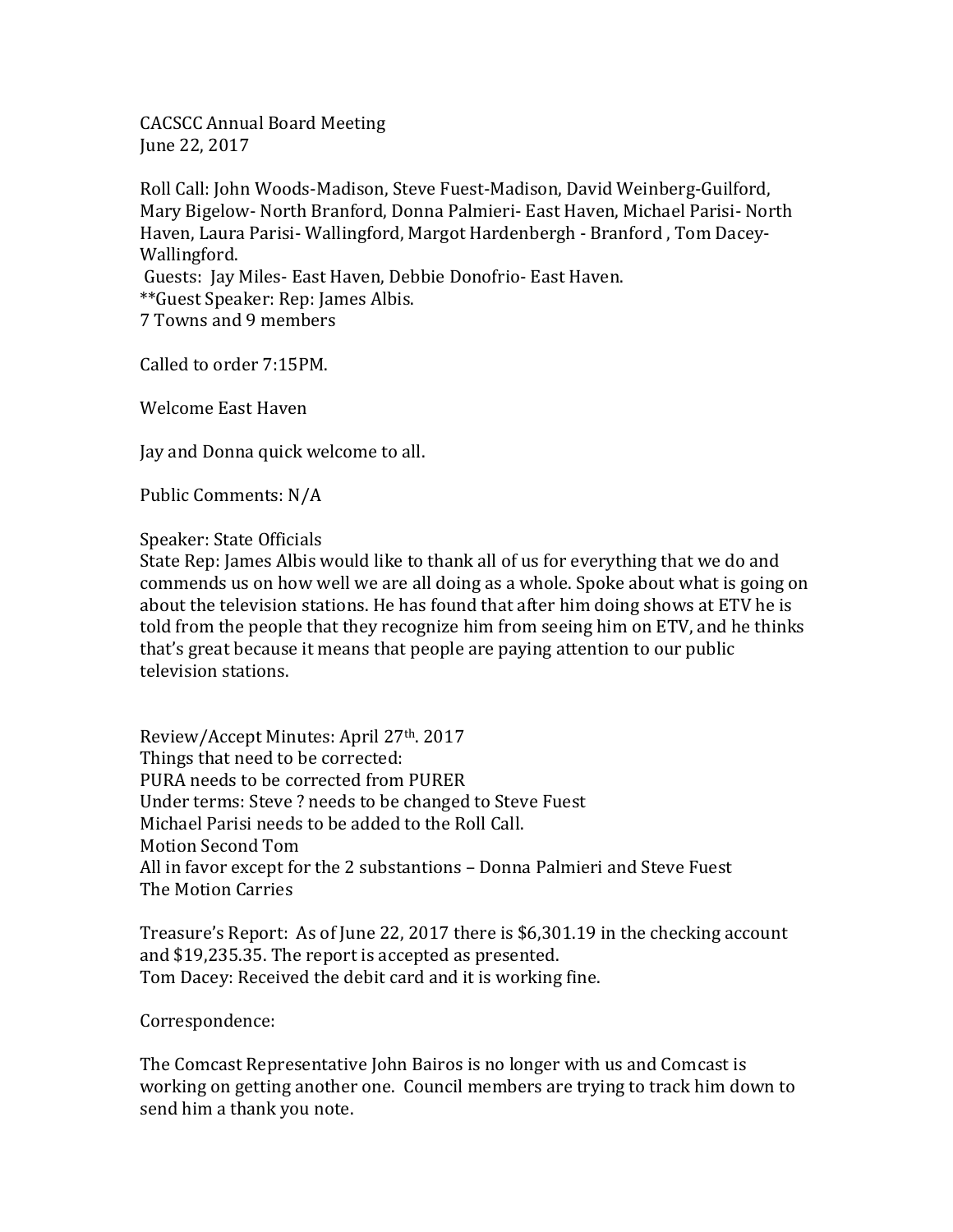CACSCC Annual Board Meeting June 22, 2017

Roll Call: John Woods-Madison, Steve Fuest-Madison, David Weinberg-Guilford, Mary Bigelow- North Branford, Donna Palmieri- East Haven, Michael Parisi- North Haven, Laura Parisi- Wallingford, Margot Hardenbergh - Branford , Tom Dacey-Wallingford. Guests: Jay Miles- East Haven, Debbie Donofrio- East Haven. \*\*Guest Speaker: Rep: James Albis.

7 Towns and 9 members

Called to order 7:15PM.

Welcome East Haven

Jay and Donna quick welcome to all.

Public Comments: N/A

Speaker: State Officials

State Rep: James Albis would like to thank all of us for everything that we do and commends us on how well we are all doing as a whole. Spoke about what is going on about the television stations. He has found that after him doing shows at ETV he is told from the people that they recognize him from seeing him on ETV, and he thinks that's great because it means that people are paying attention to our public television stations.

Review/Accept Minutes: April 27th. 2017 Things that need to be corrected: PURA needs to be corrected from PURER Under terms: Steve ? needs to be changed to Steve Fuest Michael Parisi needs to be added to the Roll Call. Motion Second Tom All in favor except for the 2 substantions – Donna Palmieri and Steve Fuest The Motion Carries

Treasure's Report: As of June 22, 2017 there is \$6,301.19 in the checking account and \$19,235.35. The report is accepted as presented. Tom Dacey: Received the debit card and it is working fine.

Correspondence:

The Comcast Representative John Bairos is no longer with us and Comcast is working on getting another one. Council members are trying to track him down to send him a thank you note.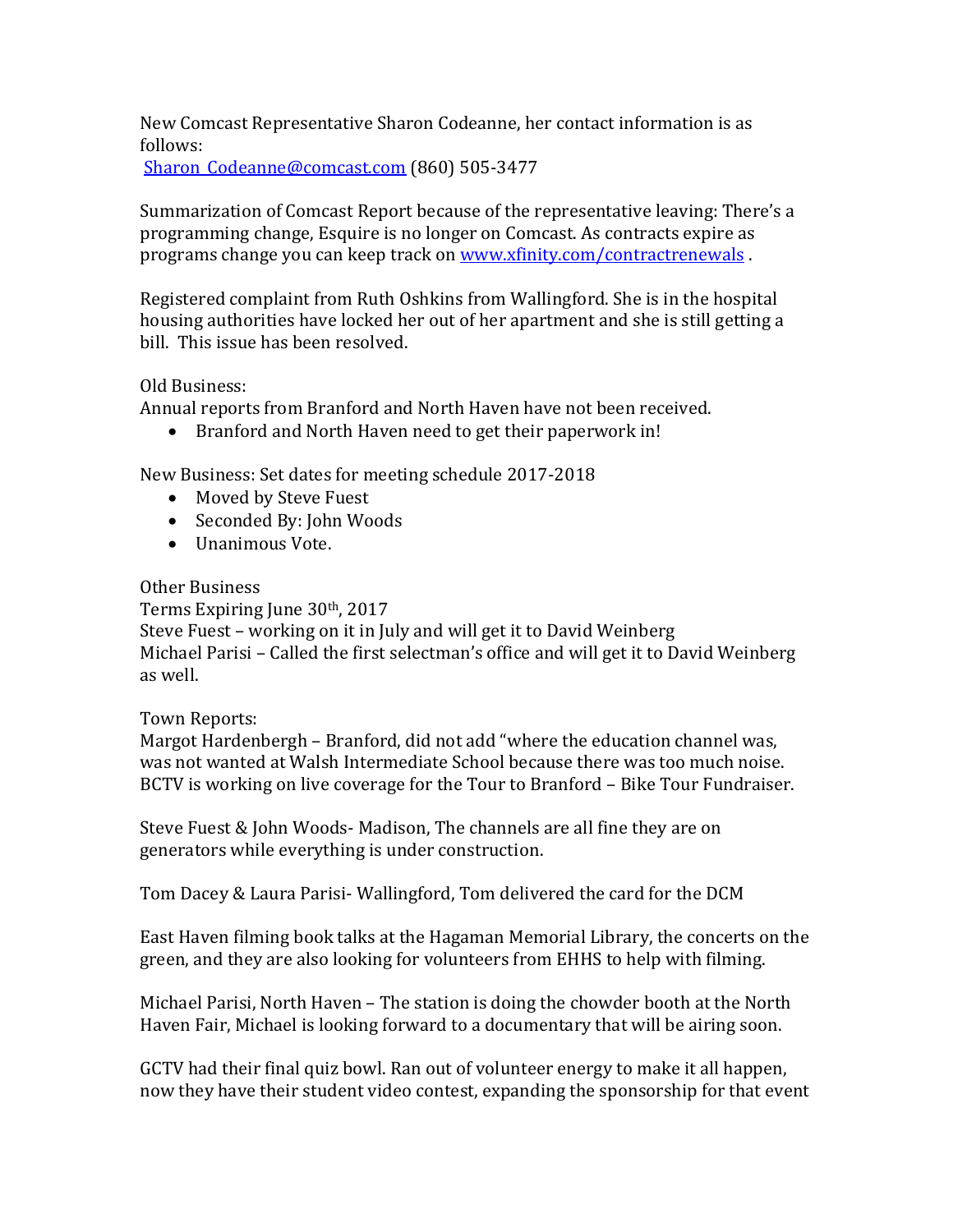New Comcast Representative Sharon Codeanne, her contact information is as follows:

Sharon Codeanne@comcast.com (860) 505-3477

Summarization of Comcast Report because of the representative leaving: There's a programming change, Esquire is no longer on Comcast. As contracts expire as programs change you can keep track on www.xfinity.com/contractrenewals.

Registered complaint from Ruth Oshkins from Wallingford. She is in the hospital housing authorities have locked her out of her apartment and she is still getting a bill. This issue has been resolved.

## Old Business:

Annual reports from Branford and North Haven have not been received.

• Branford and North Haven need to get their paperwork in!

New Business: Set dates for meeting schedule 2017-2018

- Moved by Steve Fuest
- Seconded By: John Woods
- Unanimous Vote.

## Other Business

Terms Expiring June 30<sup>th</sup>, 2017 Steve Fuest – working on it in July and will get it to David Weinberg Michael Parisi – Called the first selectman's office and will get it to David Weinberg as well.

## Town Reports:

Margot Hardenbergh – Branford, did not add "where the education channel was, was not wanted at Walsh Intermediate School because there was too much noise. BCTV is working on live coverage for the Tour to Branford – Bike Tour Fundraiser.

Steve Fuest & John Woods- Madison, The channels are all fine they are on generators while everything is under construction.

Tom Dacey & Laura Parisi- Wallingford, Tom delivered the card for the DCM

East Haven filming book talks at the Hagaman Memorial Library, the concerts on the green, and they are also looking for volunteers from EHHS to help with filming.

Michael Parisi, North Haven – The station is doing the chowder booth at the North Haven Fair, Michael is looking forward to a documentary that will be airing soon.

GCTV had their final quiz bowl. Ran out of volunteer energy to make it all happen, now they have their student video contest, expanding the sponsorship for that event